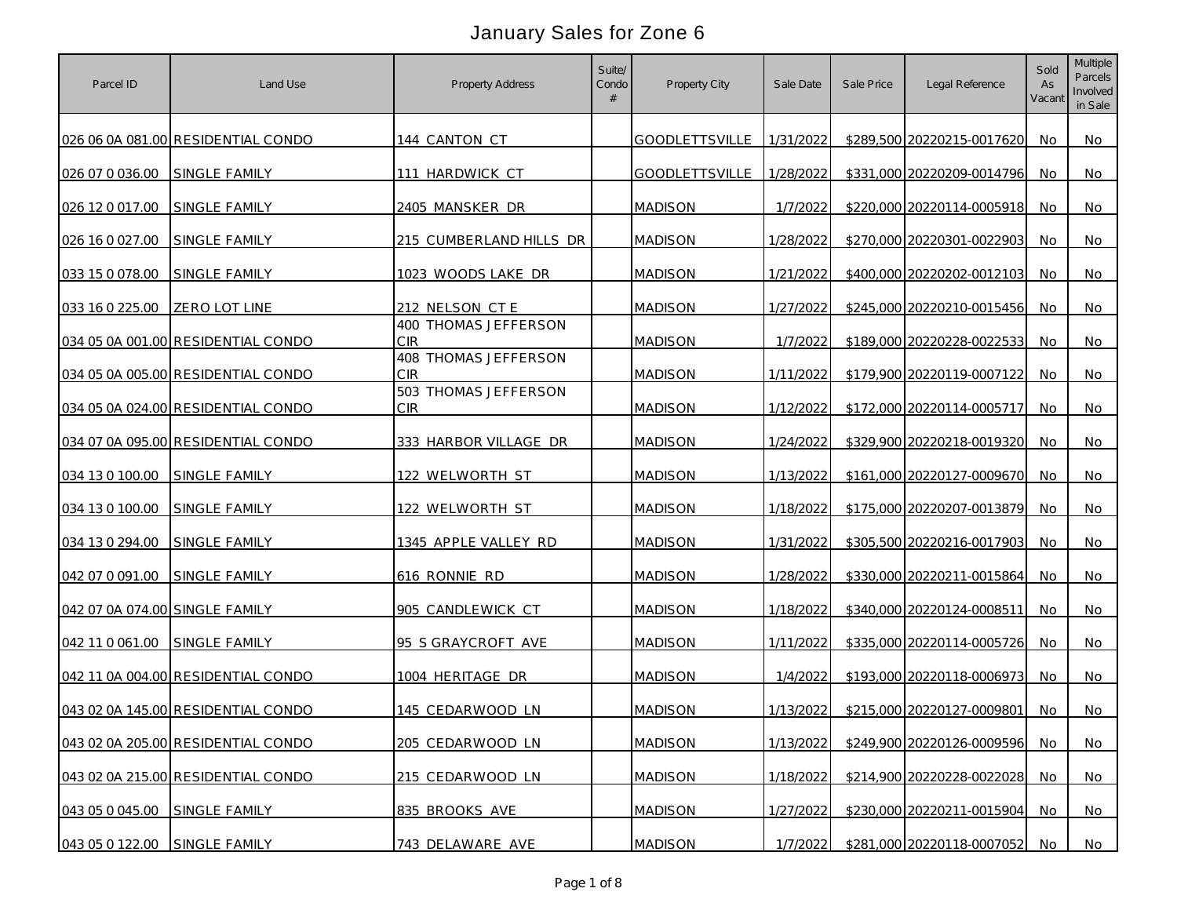| Parcel ID                      | Land Use                           | Property Address                   | Suite/<br>Condo<br># | Property City         | Sale Date | Sale Price | Legal Reference            | Sold<br>As<br>Vacant | <b>Multiple</b><br>Parcels<br>Involved<br>in Sale |
|--------------------------------|------------------------------------|------------------------------------|----------------------|-----------------------|-----------|------------|----------------------------|----------------------|---------------------------------------------------|
|                                | 026 06 0A 081.00 RESIDENTIAL CONDO | 144 CANTON CT                      |                      | <b>GOODLETTSVILLE</b> | 1/31/2022 |            | \$289,500 20220215-0017620 | No.                  | No.                                               |
| 026 07 0 036.00                | SINGLE FAMILY                      | 111 HARDWICK CT                    |                      | <b>GOODLETTSVILLE</b> | 1/28/2022 |            | \$331,000 20220209-0014796 | No                   | No                                                |
| 026 12 0 017 00                | SINGLE FAMILY                      | 2405 MANSKER DR                    |                      | <b>MADISON</b>        | 1/7/2022  |            | \$220,000 20220114-0005918 | No                   | No                                                |
| 026 16 0 027.00                | SINGLE FAMILY                      | 215 CUMBERLAND HILLS DR            |                      | <b>MADISON</b>        | 1/28/2022 |            | \$270,000 20220301-0022903 | No                   | No.                                               |
| 033 15 0 078.00                | SINGLE FAMILY                      | 1023 WOODS LAKE DR                 |                      | <b>MADISON</b>        | 1/21/2022 |            | \$400,000 20220202-0012103 | No                   | No                                                |
| 033 16 0 225.00                | <b>ZERO LOT LINE</b>               | 212 NELSON CT E                    |                      | <b>MADISON</b>        | 1/27/2022 |            | \$245,000 20220210-0015456 | No.                  | No.                                               |
|                                | 034 05 0A 001.00 RESIDENTIAL CONDO | 400 THOMAS JEFFERSON<br><b>CIR</b> |                      | <b>MADISON</b>        | 1/7/2022  |            | \$189,000 20220228-0022533 | No.                  | No                                                |
|                                | 034 05 0A 005.00 RESIDENTIAL CONDO | 408 THOMAS JEFFERSON<br>CIR        |                      | <b>MADISON</b>        | 1/11/2022 |            | \$179,900 20220119-0007122 | No.                  | No.                                               |
|                                | 034 05 0A 024.00 RESIDENTIAL CONDO | 503 THOMAS JEFFERSON<br><b>CIR</b> |                      | <b>MADISON</b>        | 1/12/2022 |            | \$172,000 20220114-0005717 | No.                  | No                                                |
|                                | 034 07 0A 095.00 RESIDENTIAL CONDO | 333 HARBOR VILLAGE DR              |                      | <b>MADISON</b>        | 1/24/2022 |            | \$329,900 20220218-0019320 | No.                  | No.                                               |
| 034 13 0 100.00                | SINGLE FAMILY                      | 122 WELWORTH ST                    |                      | <b>MADISON</b>        | 1/13/2022 |            | \$161,000 20220127-0009670 | No                   | No                                                |
| 034 13 0 100.00                | <b>SINGLE FAMILY</b>               | 122 WELWORTH ST                    |                      | <b>MADISON</b>        | 1/18/2022 |            | \$175,000 20220207-0013879 | No.                  | No.                                               |
| 034 13 0 294.00                | SINGLE FAMILY                      | 1345 APPLE VALLEY RD               |                      | <b>MADISON</b>        | 1/31/2022 |            | \$305,500 20220216-0017903 | No                   | No.                                               |
| 042 07 0 091 00                | SINGLE FAMILY                      | 616 RONNIE RD                      |                      | <b>MADISON</b>        | 1/28/2022 |            | \$330,000 20220211-0015864 | No                   | No                                                |
| 042 07 0A 074.00 SINGLE FAMILY |                                    | 905 CANDLEWICK CT                  |                      | <b>MADISON</b>        | 1/18/2022 |            | \$340,000 20220124-0008511 | No                   | No                                                |
| 042 11 0 061 00                | <b>SINGLE FAMILY</b>               | 95 S GRAYCROFT AVE                 |                      | <b>MADISON</b>        | 1/11/2022 |            | \$335,000 20220114-0005726 | No                   | No.                                               |
|                                | 042 11 0A 004.00 RESIDENTIAL CONDO | 1004 HERITAGE DR                   |                      | <b>MADISON</b>        | 1/4/2022  |            | \$193,000 20220118-0006973 | No.                  | No.                                               |
|                                | 043 02 0A 145.00 RESIDENTIAL CONDO | 145 CEDARWOOD LN                   |                      | <b>MADISON</b>        | 1/13/2022 |            | \$215,000 20220127-0009801 | No.                  | No.                                               |
|                                | 043 02 0A 205.00 RESIDENTIAL CONDO | 205 CEDARWOOD LN                   |                      | <b>MADISON</b>        | 1/13/2022 |            | \$249,900 20220126-0009596 | No                   | No                                                |
|                                | 043 02 0A 215.00 RESIDENTIAL CONDO | 215 CEDARWOOD LN                   |                      | <b>MADISON</b>        | 1/18/2022 |            | \$214,900 20220228-0022028 | No                   | <b>No</b>                                         |
| 043 05 0 045.00                | SINGLE FAMILY                      | 835 BROOKS AVE                     |                      | <b>MADISON</b>        | 1/27/2022 |            | \$230,000 20220211-0015904 | No.                  | No                                                |
| 043 05 0 122.00 SINGLE FAMILY  |                                    | 743 DELAWARE AVE                   |                      | <b>MADISON</b>        | 1/7/2022  |            | \$281,000 20220118-0007052 | No                   | No                                                |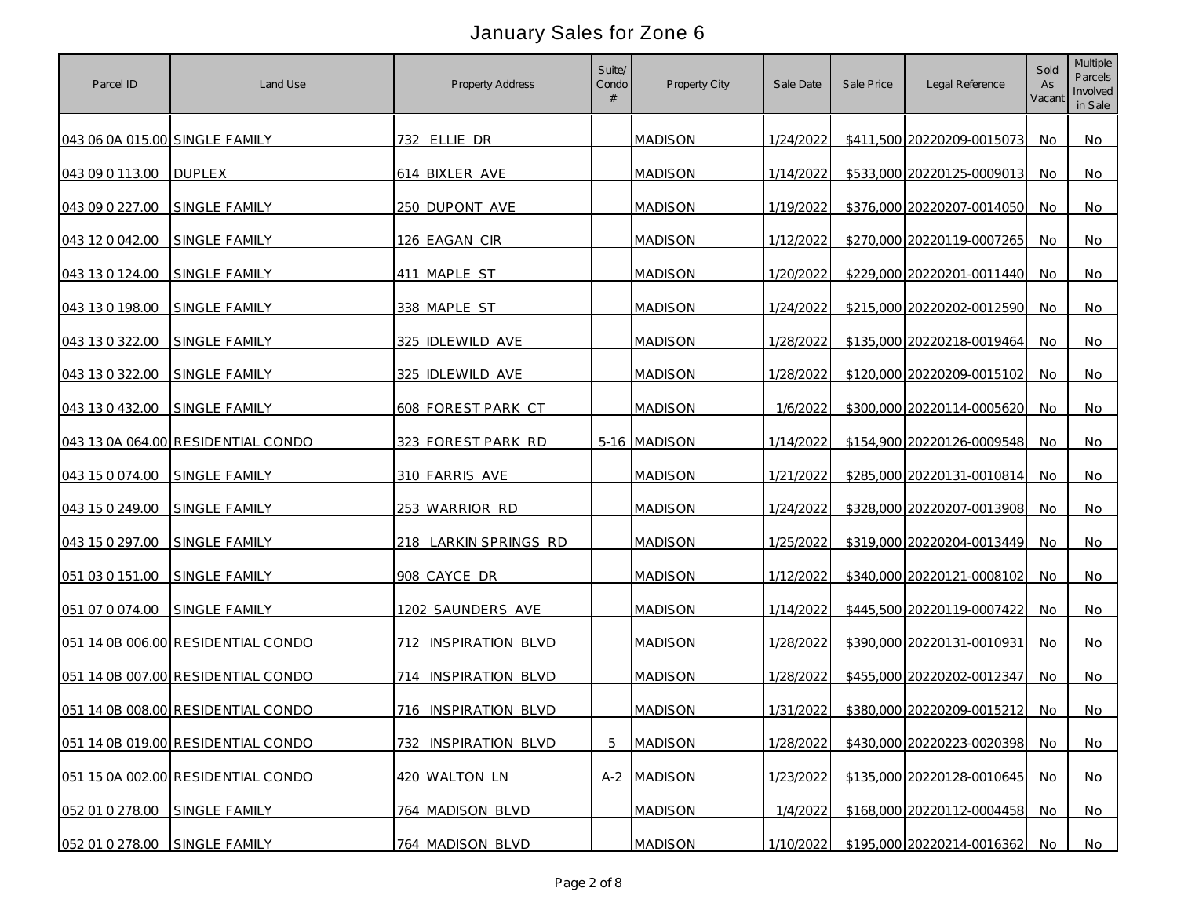| Parcel ID                      | Land Use                           | <b>Property Address</b> | Suite/<br>Condo<br># | Property City  | Sale Date | Sale Price | Legal Reference            | Sold<br>As<br>Vacant | Multiple<br>Parcels<br>Involved<br>in Sale |
|--------------------------------|------------------------------------|-------------------------|----------------------|----------------|-----------|------------|----------------------------|----------------------|--------------------------------------------|
| 043 06 0A 015.00 SINGLE FAMILY |                                    | 732 ELLIE DR            |                      | <b>MADISON</b> | 1/24/2022 |            | \$411,500 20220209-0015073 | No.                  | No.                                        |
| 043 09 0 113.00                | <b>DUPLEX</b>                      | 614 BIXLER AVE          |                      | <b>MADISON</b> | 1/14/2022 |            | \$533,000 20220125-0009013 | No                   | No                                         |
| 043 09 0 227.00                | SINGLE FAMILY                      | 250 DUPONT AVE          |                      | <b>MADISON</b> | 1/19/2022 |            | \$376,000 20220207-0014050 | No                   | No                                         |
| 043 12 0 042 00                | SINGLE FAMILY                      | 126 EAGAN CIR           |                      | <b>MADISON</b> | 1/12/2022 |            | \$270,000 20220119-0007265 | No                   | No.                                        |
| 043 13 0 124.00                | SINGLE FAMILY                      | 411 MAPLE ST            |                      | <b>MADISON</b> | 1/20/2022 |            | \$229,000 20220201-0011440 | No                   | No                                         |
| 043 13 0 198.00                | SINGLE FAMILY                      | 338 MAPLE ST            |                      | <b>MADISON</b> | 1/24/2022 |            | \$215,000 20220202-0012590 | No.                  | No.                                        |
| 043 13 0 322.00                | <b>SINGLE FAMILY</b>               | 325 IDLEWILD AVE        |                      | <b>MADISON</b> | 1/28/2022 |            | \$135,000 20220218-0019464 | No.                  | No                                         |
| 043 13 0 322.00                | SINGLE FAMILY                      | 325 IDLEWILD AVE        |                      | <b>MADISON</b> | 1/28/2022 |            | \$120,000 20220209-0015102 | No.                  | No.                                        |
| 043 13 0 432.00                | SINGLE FAMILY                      | 608 FOREST PARK CT      |                      | <b>MADISON</b> | 1/6/2022  |            | \$300,000 20220114-0005620 | No.                  | No                                         |
|                                | 043 13 0A 064.00 RESIDENTIAL CONDO | 323 FOREST PARK RD      |                      | 5-16 MADISON   | 1/14/2022 |            | \$154,900 20220126-0009548 | No.                  | No.                                        |
| 043 15 0 074.00                | SINGLE FAMILY                      | 310 FARRIS AVE          |                      | <b>MADISON</b> | 1/21/2022 |            | \$285,000 20220131-0010814 | No                   | No                                         |
| 043 15 0 249.00                | <b>SINGLE FAMILY</b>               | 253 WARRIOR RD          |                      | <b>MADISON</b> | 1/24/2022 |            | \$328,000 20220207-0013908 | No                   | No.                                        |
| 043 15 0 297.00                | SINGLE FAMILY                      | 218 LARKIN SPRINGS RD   |                      | <b>MADISON</b> | 1/25/2022 |            | \$319,000 20220204-0013449 | No                   | No.                                        |
| 051 03 0 151.00                | SINGLE FAMILY                      | 908 CAYCE DR            |                      | <b>MADISON</b> | 1/12/2022 |            | \$340,000 20220121-0008102 | No.                  | No                                         |
| 051 07 0 074.00                | SINGLE FAMILY                      | 1202 SAUNDERS AVE       |                      | <b>MADISON</b> | 1/14/2022 |            | \$445,500 20220119-0007422 | No                   | No                                         |
|                                | 051 14 0B 006.00 RESIDENTIAL CONDO | 712 INSPIRATION BLVD    |                      | <b>MADISON</b> | 1/28/2022 |            | \$390,000 20220131-0010931 | No                   | No                                         |
|                                | 051 14 0B 007.00 RESIDENTIAL CONDO | 714 INSPIRATION BLVD    |                      | <b>MADISON</b> | 1/28/2022 |            | \$455,000 20220202-0012347 | No.                  | No                                         |
|                                | 051 14 0B 008.00 RESIDENTIAL CONDO | 716 INSPIRATION BLVD    |                      | <b>MADISON</b> | 1/31/2022 |            | \$380,000 20220209-0015212 | No                   | No.                                        |
|                                | 051 14 0B 019.00 RESIDENTIAL CONDO | 732 INSPIRATION BLVD    | 5                    | <b>MADISON</b> | 1/28/2022 |            | \$430,000 20220223-0020398 | No                   | No                                         |
|                                | 051 15 0A 002.00 RESIDENTIAL CONDO | 420 WALTON LN           |                      | A-2 MADISON    | 1/23/2022 |            | \$135,000 20220128-0010645 | No                   | <b>No</b>                                  |
| 052 01 0 278.00                | SINGLE FAMILY                      | 764 MADISON BLVD        |                      | <b>MADISON</b> | 1/4/2022  |            | \$168,000 20220112-0004458 | No.                  | No                                         |
| 052 01 0 278.00                | SINGLE FAMILY                      | 764 MADISON BLVD        |                      | <b>MADISON</b> | 1/10/2022 |            | \$195,000 20220214-0016362 | No                   | No                                         |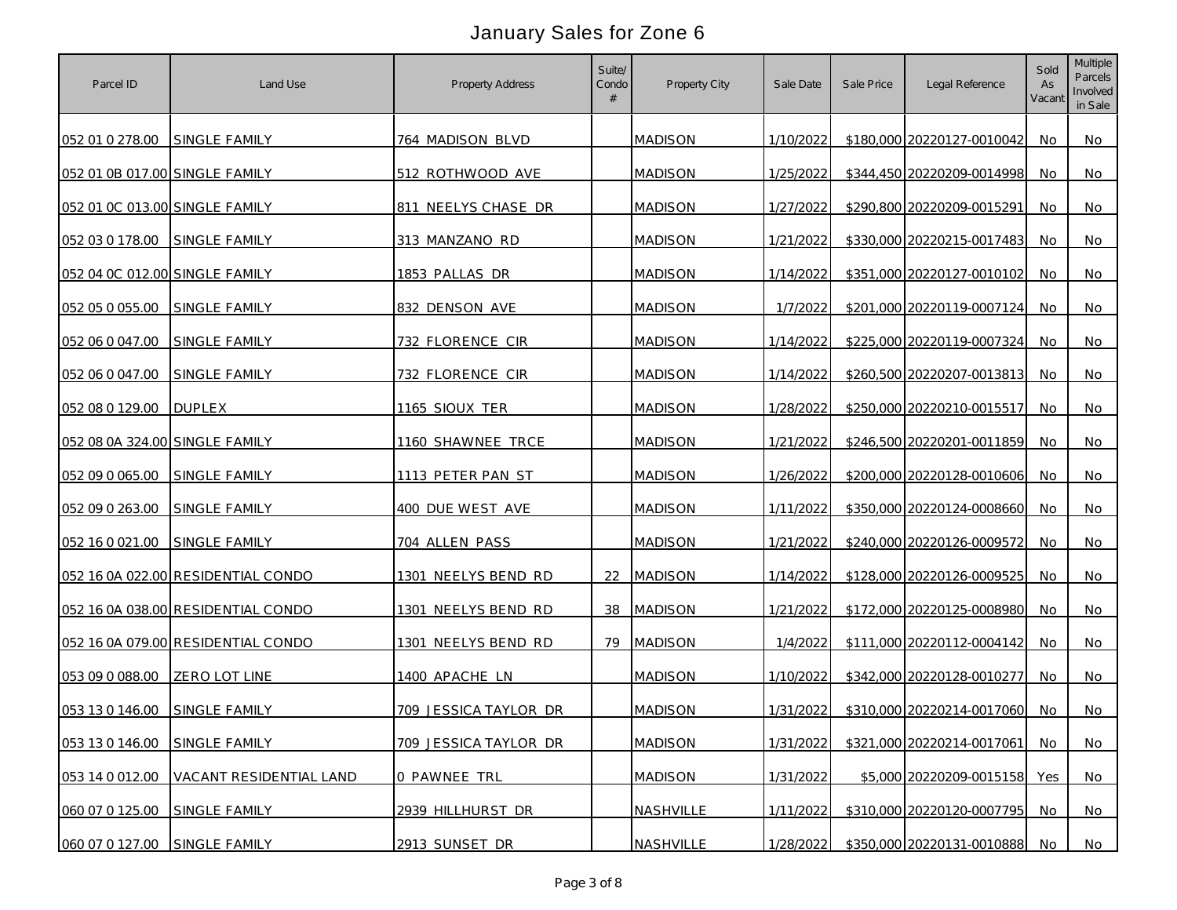| Parcel ID                      | Land Use                           | Property Address      | Suite/<br>Condo<br># | Property City  | Sale Date | Sale Price | Legal Reference            | Sold<br>As<br>Vacant | Multiple<br>Parcels<br>Involved<br>in Sale |
|--------------------------------|------------------------------------|-----------------------|----------------------|----------------|-----------|------------|----------------------------|----------------------|--------------------------------------------|
| 052 01 0 278.00                | SINGLE FAMILY                      | 764 MADISON BLVD      |                      | <b>MADISON</b> | 1/10/2022 |            | \$180,000 20220127-0010042 | No.                  | No.                                        |
| 052 01 0B 017.00 SINGLE FAMILY |                                    | 512 ROTHWOOD AVE      |                      | <b>MADISON</b> | 1/25/2022 |            | \$344,450 20220209-0014998 | No                   | No                                         |
| 052 01 0C 013.00 SINGLE FAMILY |                                    | 811 NEELYS CHASE DR   |                      | <b>MADISON</b> | 1/27/2022 |            | \$290,800 20220209-0015291 | No                   | No                                         |
| 052 03 0 178.00                | SINGLE FAMILY                      | 313 MANZANO RD        |                      | <b>MADISON</b> | 1/21/2022 |            | \$330,000 20220215-0017483 | No                   | No.                                        |
| 052 04 0C 012.00 SINGLE FAMILY |                                    | 1853 PALLAS DR        |                      | <b>MADISON</b> | 1/14/2022 |            | \$351,000 20220127-0010102 | No                   | No.                                        |
| 052 05 0 055.00                | <b>SINGLE FAMILY</b>               | 832 DENSON AVE        |                      | <b>MADISON</b> | 1/7/2022  |            | \$201,000 20220119-0007124 | No.                  | No.                                        |
| 052 06 0 047.00                | <b>SINGLE FAMILY</b>               | 732 FLORENCE CIR      |                      | <b>MADISON</b> | 1/14/2022 |            | \$225,000 20220119-0007324 | No                   | No                                         |
| 052 06 0 047.00                | SINGLE FAMILY                      | 732 FLORENCE CIR      |                      | <b>MADISON</b> | 1/14/2022 |            | \$260,500 20220207-0013813 | No.                  | No.                                        |
| 052 08 0 129.00                | <b>DUPLEX</b>                      | 1165 SIOUX TER        |                      | <b>MADISON</b> | 1/28/2022 |            | \$250,000 20220210-0015517 | No.                  | No                                         |
| 052 08 0A 324.00 SINGLE FAMILY |                                    | 1160 SHAWNEE TRCE     |                      | <b>MADISON</b> | 1/21/2022 |            | \$246,500 20220201-0011859 | No.                  | No.                                        |
| 052 09 0 065.00                | SINGLE FAMILY                      | 1113 PETER PAN ST     |                      | <b>MADISON</b> | 1/26/2022 |            | \$200,000 20220128-0010606 | No                   | No                                         |
| 052 09 0 263.00                | <b>SINGLE FAMILY</b>               | 400 DUE WEST AVE      |                      | <b>MADISON</b> | 1/11/2022 |            | \$350,000 20220124-0008660 | No                   | No.                                        |
| 052 16 0 021 00                | <b>SINGLE FAMILY</b>               | 704 ALLEN PASS        |                      | <b>MADISON</b> | 1/21/2022 |            | \$240,000 20220126-0009572 | No                   | No.                                        |
|                                | 052 16 0A 022.00 RESIDENTIAL CONDO | 1301 NEELYS BEND RD   | 22                   | <b>MADISON</b> | 1/14/2022 |            | \$128,000 20220126-0009525 | No                   | No                                         |
|                                | 052 16 0A 038.00 RESIDENTIAL CONDO | 1301 NEELYS BEND RD   | 38                   | <b>MADISON</b> | 1/21/2022 |            | \$172,000 20220125-0008980 | No                   | No                                         |
|                                | 052 16 0A 079.00 RESIDENTIAL CONDO | 1301 NEELYS BEND RD   |                      | 79 MADISON     | 1/4/2022  |            | \$111,000 20220112-0004142 | No                   | No                                         |
| 053 09 0 088.00                | ZERO LOT LINE                      | 1400 APACHE LN        |                      | <b>MADISON</b> | 1/10/2022 |            | \$342,000 20220128-0010277 | No.                  | No                                         |
| 053 13 0 146.00 SINGLE FAMILY  |                                    | 709 JESSICA TAYLOR DR |                      | <b>MADISON</b> | 1/31/2022 |            | \$310,000 20220214-0017060 | No.                  | No.                                        |
| 053 13 0 146.00                | SINGLE FAMILY                      | 709 JESSICA TAYLOR DR |                      | <b>MADISON</b> | 1/31/2022 |            | \$321,000 20220214-0017061 | No                   | No                                         |
| 053 14 0 012.00                | VACANT RESIDENTIAL LAND            | 0 PAWNEE TRL          |                      | <b>MADISON</b> | 1/31/2022 |            | \$5,000 20220209-0015158   | Yes                  | <b>No</b>                                  |
| 060 07 0 125.00                | SINGLE FAMILY                      | 2939 HILLHURST DR     |                      | NASHVILLE      | 1/11/2022 |            | \$310,000 20220120-0007795 | No.                  | No                                         |
| 060 07 0 127.00                | SINGLE FAMILY                      | 2913 SUNSET DR        |                      | NASHVILLE      | 1/28/2022 |            | \$350,000 20220131-0010888 | No                   | No                                         |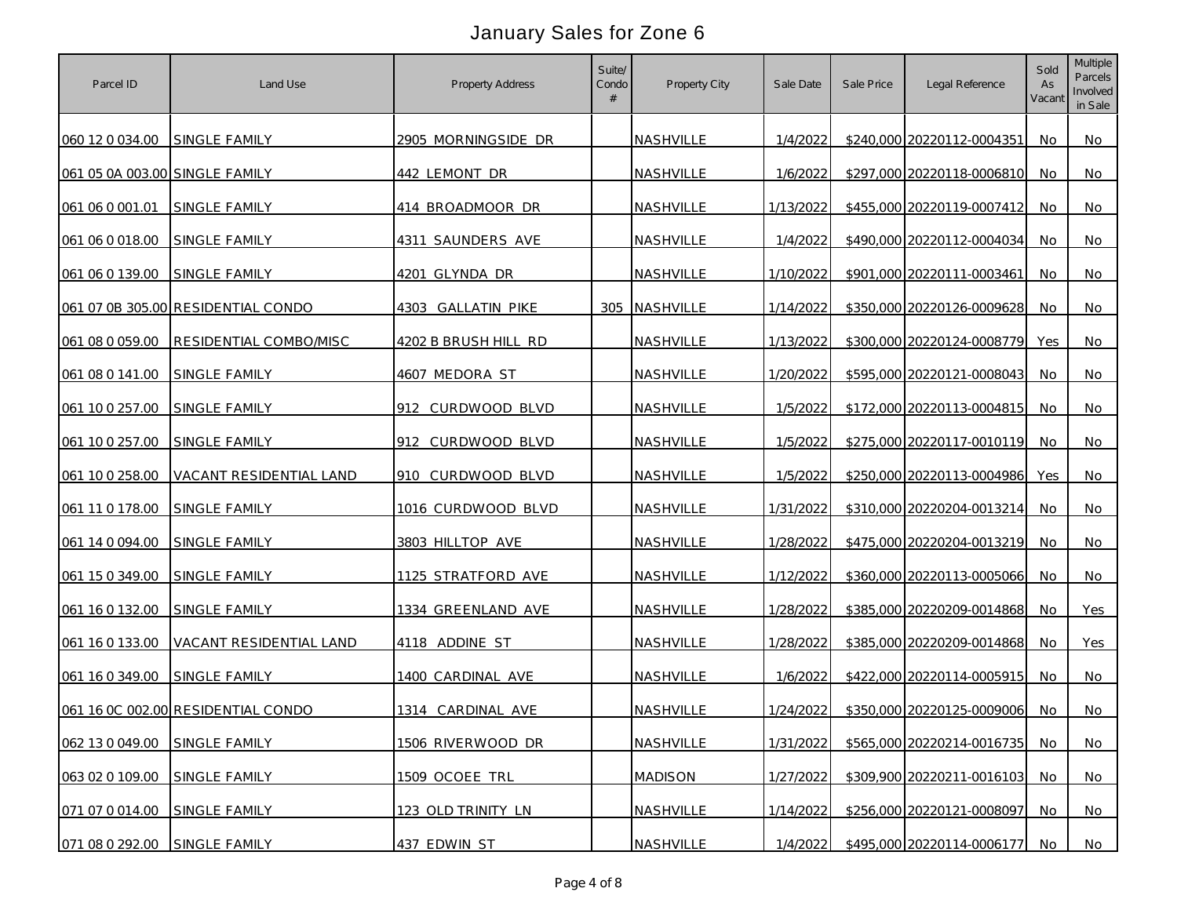| Parcel ID                      | Land Use                           | Property Address     | Suite/<br>Condo<br># | Property City    | Sale Date | Sale Price | Legal Reference            | Sold<br>As<br>Vacant | Multiple<br>Parcels<br>Involved<br>in Sale |
|--------------------------------|------------------------------------|----------------------|----------------------|------------------|-----------|------------|----------------------------|----------------------|--------------------------------------------|
| 060 12 0 034.00                | SINGLE FAMILY                      | 2905 MORNINGSIDE DR  |                      | <b>NASHVILLE</b> | 1/4/2022  |            | \$240,000 20220112-0004351 | No                   | No                                         |
| 061 05 0A 003.00 SINGLE FAMILY |                                    | 442 LEMONT DR        |                      | <b>NASHVILLE</b> | 1/6/2022  |            | \$297,000 20220118-0006810 | No                   | No                                         |
| 061 06 0 001 01                | SINGLE FAMILY                      | 414 BROADMOOR DR     |                      | NASHVILLE        | 1/13/2022 |            | \$455,000 20220119-0007412 | No                   | No                                         |
| 061 06 0 018.00                | SINGLE FAMILY                      | 4311 SAUNDERS AVE    |                      | NASHVILLE        | 1/4/2022  |            | \$490,000 20220112-0004034 | No                   | No                                         |
| 061 06 0 139.00                | SINGLE FAMILY                      | 4201 GLYNDA DR       |                      | <b>NASHVILLE</b> | 1/10/2022 |            | \$901,000 20220111-0003461 | No                   | No                                         |
|                                | 061 07 0B 305.00 RESIDENTIAL CONDO | 4303 GALLATIN PIKE   |                      | 305 NASHVILLE    | 1/14/2022 |            | \$350,000 20220126-0009628 | No.                  | No                                         |
| 061 08 0 059.00                | RESIDENTIAL COMBO/MISC             | 4202 B BRUSH HILL RD |                      | <b>NASHVILLE</b> | 1/13/2022 |            | \$300,000 20220124-0008779 | Yes                  | No                                         |
| 061 08 0 141.00                | SINGLE FAMILY                      | 4607 MEDORA ST       |                      | NASHVILLE        | 1/20/2022 |            | \$595,000 20220121-0008043 | No                   | No.                                        |
| 061 10 0 257.00                | SINGLE FAMILY                      | 912 CURDWOOD BLVD    |                      | NASHVILLE        | 1/5/2022  |            | \$172,000 20220113-0004815 | No                   | No                                         |
| 061 10 0 257.00                | SINGLE FAMILY                      | 912 CURDWOOD BLVD    |                      | NASHVILLE        | 1/5/2022  |            | \$275,000 20220117-0010119 | No.                  | No.                                        |
| 061 10 0 258.00                | VACANT RESIDENTIAL LAND            | 910 CURDWOOD BLVD    |                      | NASHVILLE        | 1/5/2022  |            | \$250,000 20220113-0004986 | Yes                  | <b>No</b>                                  |
| 061 11 0 178.00                | SINGLE FAMILY                      | 1016 CURDWOOD BLVD   |                      | NASHVILLE        | 1/31/2022 |            | \$310,000 20220204-0013214 | No.                  | No                                         |
| 061 14 0 094.00                | SINGLE FAMILY                      | 3803 HILLTOP AVE     |                      | <b>NASHVILLE</b> | 1/28/2022 |            | \$475,000 20220204-0013219 | No                   | <b>No</b>                                  |
| 061 15 0 349.00                | SINGLE FAMILY                      | 1125 STRATFORD AVE   |                      | NASHVILLE        | 1/12/2022 |            | \$360,000 20220113-0005066 | No                   | No                                         |
| 061 16 0 132.00                | <b>SINGLE FAMILY</b>               | 1334 GREENLAND AVE   |                      | <b>NASHVILLE</b> | 1/28/2022 |            | \$385,000 20220209-0014868 | No                   | Yes                                        |
| 061 16 0 133.00                | VACANT RESIDENTIAL LAND            | 4118 ADDINE ST       |                      | NASHVILLE        | 1/28/2022 |            | \$385,000 20220209-0014868 | No.                  | Yes                                        |
| 061 16 0 349.00                | SINGLE FAMILY                      | 1400 CARDINAL AVE    |                      | NASHVILLE        | 1/6/2022  |            | \$422,000 20220114-0005915 | No                   | No.                                        |
|                                | 061 16 0C 002.00 RESIDENTIAL CONDO | 1314 CARDINAL AVE    |                      | NASHVILLE        | 1/24/2022 |            | \$350,000 20220125-0009006 | No                   | No                                         |
| 062 13 0 049.00                | SINGLE FAMILY                      | 1506 RIVERWOOD DR    |                      | NASHVILLE        | 1/31/2022 |            | \$565,000 20220214-0016735 | <b>No</b>            | No                                         |
| 063 02 0 109.00                | SINGLE FAMILY                      | 1509 OCOEE TRL       |                      | <b>MADISON</b>   | 1/27/2022 |            | \$309,900 20220211-0016103 | No                   | <b>No</b>                                  |
| 071 07 0 014.00                | SINGLE FAMILY                      | 123 OLD TRINITY LN   |                      | NASHVILLE        | 1/14/2022 |            | \$256,000 20220121-0008097 | No.                  | <b>No</b>                                  |
| 071 08 0 292.00                | SINGLE FAMILY                      | 437 EDWIN ST         |                      | NASHVILLE        | 1/4/2022  |            | \$495,000 20220114-0006177 | No.                  | No                                         |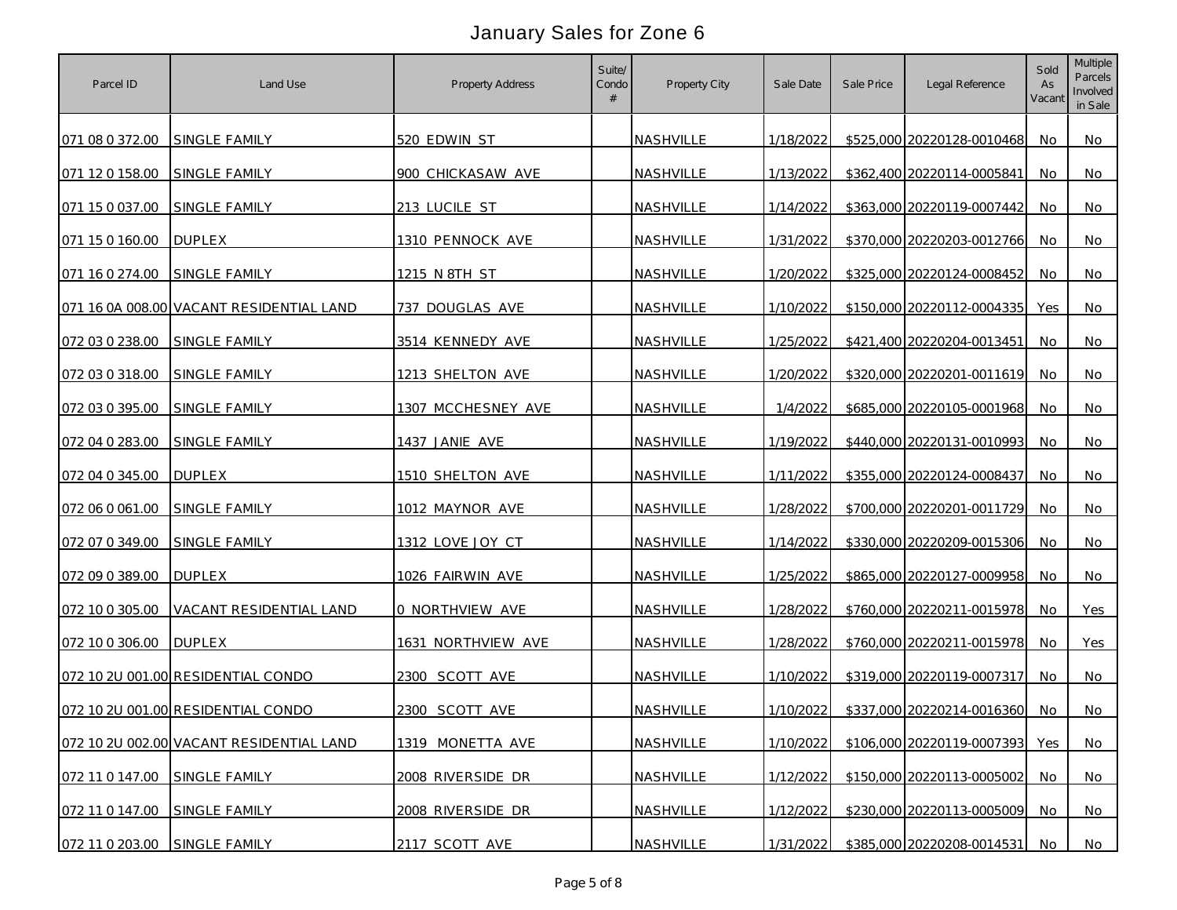| Parcel ID                     | Land Use                                 | Property Address   | Suite/<br>Condo<br># | Property City    | Sale Date | Sale Price | Legal Reference            | Sold<br>As<br>Vacant | <b>Multiple</b><br>Parcels<br>Involved<br>in Sale |
|-------------------------------|------------------------------------------|--------------------|----------------------|------------------|-----------|------------|----------------------------|----------------------|---------------------------------------------------|
| 071 08 0 372.00 SINGLE FAMILY |                                          | 520 EDWIN ST       |                      | NASHVILLE        | 1/18/2022 |            | \$525,000 20220128-0010468 | No.                  | No.                                               |
| 071 12 0 158.00               | SINGLE FAMILY                            | 900 CHICKASAW AVE  |                      | NASHVILLE        | 1/13/2022 |            | \$362,400 20220114-0005841 | No                   | <b>No</b>                                         |
| 071 15 0 037.00               | SINGLE FAMILY                            | 213 LUCILE ST      |                      | NASHVILLE        | 1/14/2022 |            | \$363,000 20220119-0007442 | No                   | No                                                |
| 071 15 0 160.00               | <b>DUPLEX</b>                            | 1310 PENNOCK AVE   |                      | NASHVILLE        | 1/31/2022 |            | \$370,000 20220203-0012766 | No                   | No                                                |
| 071 16 0 274.00               | SINGLE FAMILY                            | 1215 N 8TH ST      |                      | <b>NASHVILLE</b> | 1/20/2022 |            | \$325,000 20220124-0008452 | No                   | No                                                |
|                               | 071 16 0A 008.00 VACANT RESIDENTIAL LAND | 737 DOUGLAS AVE    |                      | NASHVILLE        | 1/10/2022 |            | \$150,000 20220112-0004335 | Yes                  | No                                                |
| 072 03 0 238.00               | <b>SINGLE FAMILY</b>                     | 3514 KENNEDY AVE   |                      | NASHVILLE        | 1/25/2022 |            | \$421,400 20220204-0013451 | No                   | No                                                |
| 072 03 0 318.00               | SINGLE FAMILY                            | 1213 SHELTON AVE   |                      | NASHVILLE        | 1/20/2022 |            | \$320,000 20220201-0011619 | No.                  | No.                                               |
| 072 03 0 395.00               | SINGLE FAMILY                            | 1307 MCCHESNEY AVE |                      | NASHVILLE        | 1/4/2022  |            | \$685,000 20220105-0001968 | No                   | No                                                |
| 072 04 0 283.00 SINGLE FAMILY |                                          | 1437 JANIE AVE     |                      | NASHVILLE        | 1/19/2022 |            | \$440,000 20220131-0010993 | No.                  | No.                                               |
| 072 04 0 345.00               | <b>DUPLEX</b>                            | 1510 SHELTON AVE   |                      | NASHVILLE        | 1/11/2022 |            | \$355,000 20220124-0008437 | No.                  | <b>No</b>                                         |
| 072 06 0 061.00 SINGLE FAMILY |                                          | 1012 MAYNOR AVE    |                      | <b>NASHVILLE</b> | 1/28/2022 |            | \$700,000 20220201-0011729 | No.                  | No                                                |
| 072 07 0 349.00               | <b>SINGLE FAMILY</b>                     | 1312 LOVE JOY CT   |                      | <b>NASHVILLE</b> | 1/14/2022 |            | \$330,000 20220209-0015306 | No                   | No                                                |
| 072 09 0 389.00               | <b>DUPLEX</b>                            | 1026 FAIRWIN AVE   |                      | NASHVILLE        | 1/25/2022 |            | \$865,000 20220127-0009958 | No                   | No                                                |
| 072 10 0 305.00               | VACANT RESIDENTIAL LAND                  | 0 NORTHVIEW AVE    |                      | NASHVILLE        | 1/28/2022 |            | \$760,000 20220211-0015978 | No                   | Yes                                               |
| 072 10 0 306.00               | <b>DUPLEX</b>                            | 1631 NORTHVIEW AVE |                      | NASHVILLE        | 1/28/2022 |            | \$760,000 20220211-0015978 | No.                  | Yes                                               |
|                               | 072 10 2U 001.00 RESIDENTIAL CONDO       | 2300 SCOTT AVE     |                      | NASHVILLE        | 1/10/2022 |            | \$319,000 20220119-0007317 | No.                  | No.                                               |
|                               | 072 10 2U 001.00 RESIDENTIAL CONDO       | 2300 SCOTT AVE     |                      | NASHVILLE        | 1/10/2022 |            | \$337,000 20220214-0016360 | No.                  | No                                                |
|                               | 072 10 2U 002.00 VACANT RESIDENTIAL LAND | 1319 MONETTA AVE   |                      | NASHVILLE        | 1/10/2022 |            | \$106,000 20220119-0007393 | Yes                  | No                                                |
| 072 11 0 147.00 SINGLE FAMILY |                                          | 2008 RIVERSIDE DR  |                      | NASHVILLE        | 1/12/2022 |            | \$150,000 20220113-0005002 | No                   | <b>No</b>                                         |
| 072 11 0 147.00               | SINGLE FAMILY                            | 2008 RIVERSIDE DR  |                      | NASHVILLE        | 1/12/2022 |            | \$230,000 20220113-0005009 | No.                  | <b>No</b>                                         |
| 072 11 0 203.00 SINGLE FAMILY |                                          | 2117 SCOTT AVE     |                      | NASHVILLE        | 1/31/2022 |            | \$385,000 20220208-0014531 | No                   | No                                                |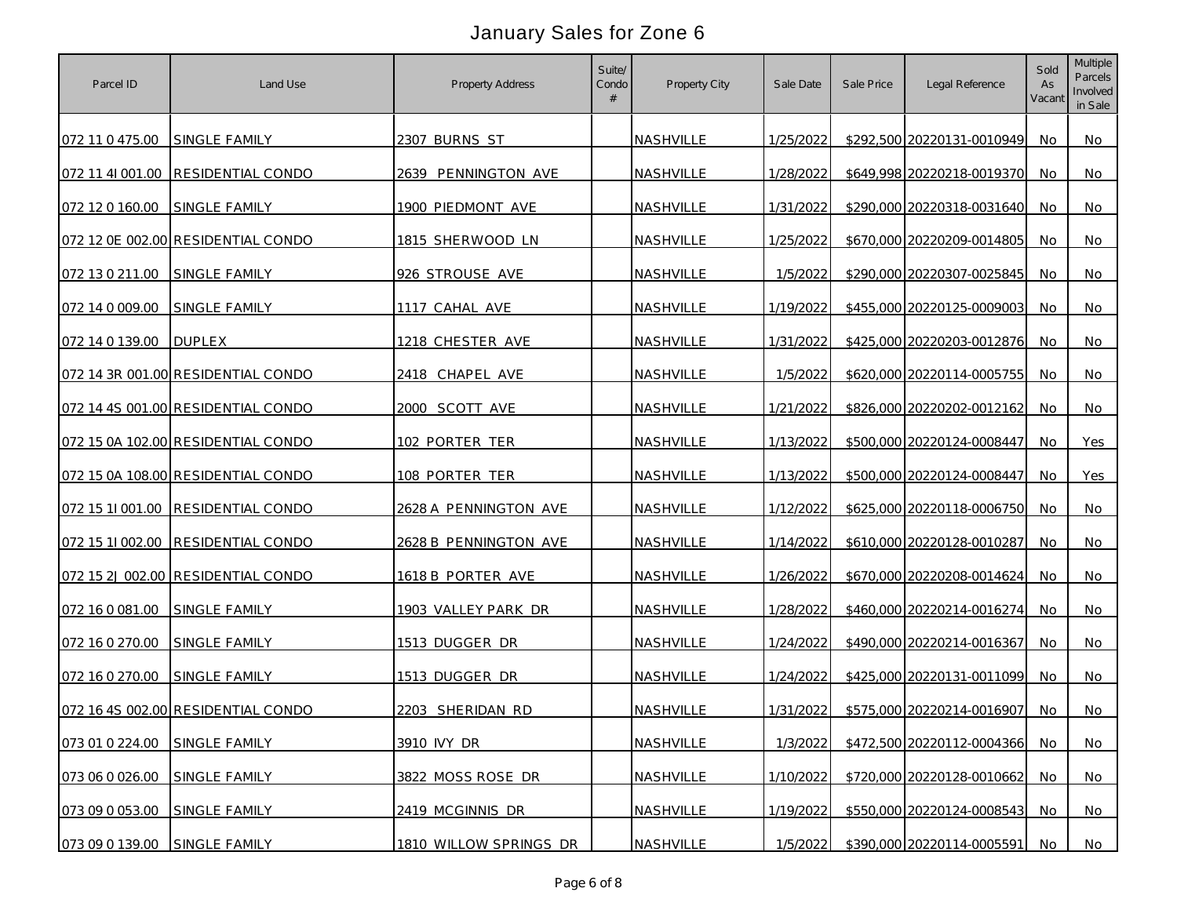| Parcel ID                     | Land Use                           | Property Address       | Suite/<br>Condo<br># | Property City    | Sale Date | Sale Price | Legal Reference            | Sold<br>As<br>Vacant | <b>Multiple</b><br>Parcels<br>Involved<br>in Sale |
|-------------------------------|------------------------------------|------------------------|----------------------|------------------|-----------|------------|----------------------------|----------------------|---------------------------------------------------|
| 072 11 0 475.00 SINGLE FAMILY |                                    | 2307 BURNS ST          |                      | NASHVILLE        | 1/25/2022 |            | \$292,500 20220131-0010949 | No.                  | No.                                               |
|                               | 072 11 41 001.00 RESIDENTIAL CONDO | 2639 PENNINGTON AVE    |                      | NASHVILLE        | 1/28/2022 |            | \$649,998 20220218-0019370 | No                   | No                                                |
| 072 12 0 160.00               | SINGLE FAMILY                      | 1900 PIEDMONT AVE      |                      | NASHVILLE        | 1/31/2022 |            | \$290,000 20220318-0031640 | No.                  | No                                                |
|                               | 072 12 0E 002.00 RESIDENTIAL CONDO | 1815 SHERWOOD LN       |                      | NASHVILLE        | 1/25/2022 |            | \$670,000 20220209-0014805 | No                   | No                                                |
| 072 13 0 211.00               | SINGLE FAMILY                      | 926 STROUSE AVE        |                      | NASHVILLE        | 1/5/2022  |            | \$290,000 20220307-0025845 | No                   | No                                                |
| 072 14 0 009.00               | SINGLE FAMILY                      | 1117 CAHAL AVE         |                      | <b>NASHVILLE</b> | 1/19/2022 |            | \$455,000 20220125-0009003 | No                   | No                                                |
| 072 14 0 139.00               | <b>DUPLEX</b>                      | 1218 CHESTER AVE       |                      | NASHVILLE        | 1/31/2022 |            | \$425,000 20220203-0012876 | No                   | No                                                |
|                               | 072 14 3R 001.00 RESIDENTIAL CONDO | 2418 CHAPEL AVE        |                      | NASHVILLE        | 1/5/2022  |            | \$620,000 20220114-0005755 | No.                  | No                                                |
|                               | 072 14 4S 001.00 RESIDENTIAL CONDO | 2000 SCOTT AVE         |                      | NASHVILLE        | 1/21/2022 |            | \$826,000 20220202-0012162 | No.                  | No                                                |
|                               | 072 15 0A 102.00 RESIDENTIAL CONDO | 102 PORTER TER         |                      | NASHVILLE        | 1/13/2022 |            | \$500,000 20220124-0008447 | No.                  | Yes                                               |
|                               | 072 15 0A 108.00 RESIDENTIAL CONDO | 108 PORTER TER         |                      | <b>NASHVILLE</b> | 1/13/2022 |            | \$500,000 20220124-0008447 | No                   | Yes                                               |
|                               | 072 15 11 001.00 RESIDENTIAL CONDO | 2628 A PENNINGTON AVE  |                      | <b>NASHVILLE</b> | 1/12/2022 |            | \$625,000 20220118-0006750 | No.                  | No.                                               |
|                               | 072 15 11 002.00 RESIDENTIAL CONDO | 2628 B PENNINGTON AVE  |                      | NASHVILLE        | 1/14/2022 |            | \$610,000 20220128-0010287 | No                   | No                                                |
|                               | 072 15 2J 002.00 RESIDENTIAL CONDO | 1618 B PORTER AVE      |                      | NASHVILLE        | 1/26/2022 |            | \$670,000 20220208-0014624 | No                   | No                                                |
| 072 16 0 081 00               | <b>SINGLE FAMILY</b>               | 1903 VALLEY PARK DR    |                      | NASHVILLE        | 1/28/2022 |            | \$460,000 20220214-0016274 | No                   | No                                                |
| 072 16 0 270.00               | SINGLE FAMILY                      | 1513 DUGGER DR         |                      | NASHVILLE        | 1/24/2022 |            | \$490,000 20220214-0016367 | No.                  | No.                                               |
| 072 16 0 270.00               | SINGLE FAMILY                      | 1513 DUGGER DR         |                      | NASHVILLE        | 1/24/2022 |            | \$425,000 20220131-0011099 | No                   | No.                                               |
|                               | 072 16 4S 002.00 RESIDENTIAL CONDO | 2203 SHERIDAN RD       |                      | NASHVILLE        | 1/31/2022 |            | \$575,000 20220214-0016907 | No.                  | No.                                               |
| 073 01 0 224.00               | SINGLE FAMILY                      | 3910 IVY DR            |                      | NASHVILLE        | 1/3/2022  |            | \$472,500 20220112-0004366 | No                   | <b>No</b>                                         |
| 073 06 0 026.00               | SINGLE FAMILY                      | 3822 MOSS ROSE DR      |                      | NASHVILLE        | 1/10/2022 |            | \$720,000 20220128-0010662 | No                   | No                                                |
| 073 09 0 053.00               | SINGLE FAMILY                      | 2419 MCGINNIS DR       |                      | NASHVILLE        | 1/19/2022 |            | \$550,000 20220124-0008543 | No                   | No                                                |
| 073 09 0 139.00 SINGLE FAMILY |                                    | 1810 WILLOW SPRINGS DR |                      | NASHVILLE        | 1/5/2022  |            | \$390,000 20220114-0005591 | No                   | No                                                |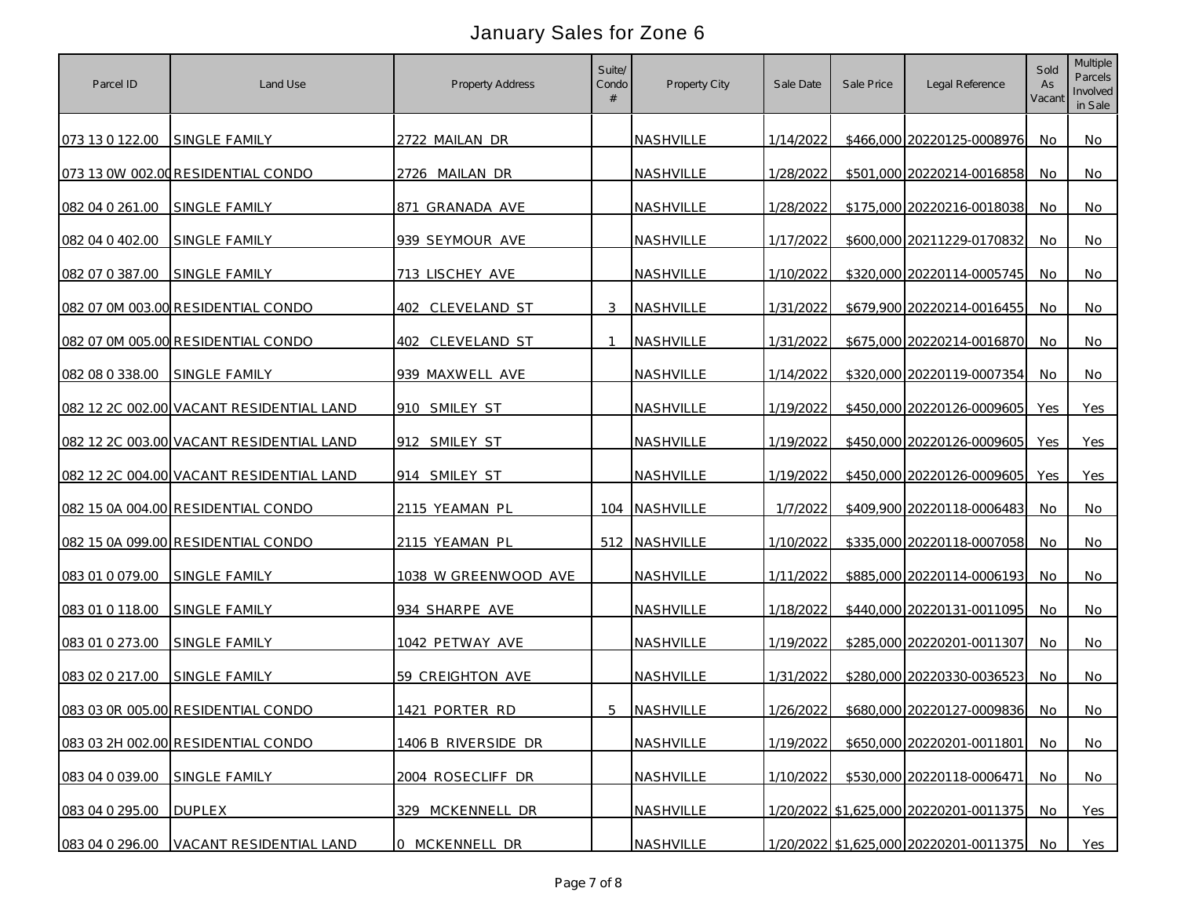| Parcel ID       | Land Use                                 | Property Address     | Suite/<br>Condo<br># | Property City    | Sale Date | Sale Price | Legal Reference                        | Sold<br>As<br>Vacant | Multiple<br>Parcels<br>Involved<br>in Sale |
|-----------------|------------------------------------------|----------------------|----------------------|------------------|-----------|------------|----------------------------------------|----------------------|--------------------------------------------|
| 073 13 0 122.00 | SINGLE FAMILY                            | 2722 MAILAN DR       |                      | NASHVILLE        | 1/14/2022 |            | \$466,000 20220125-0008976             | No.                  | No                                         |
|                 | 073 13 0W 002.00 RESIDENTIAL CONDO       | 2726 MAILAN DR       |                      | NASHVILLE        | 1/28/2022 |            | \$501,000 20220214-0016858             | No                   | No                                         |
| 082 04 0 261.00 | SINGLE FAMILY                            | 871 GRANADA AVE      |                      | NASHVILLE        | 1/28/2022 |            | \$175,000 20220216-0018038             | No                   | No                                         |
| 082 04 0 402.00 | SINGLE FAMILY                            | 939 SEYMOUR AVE      |                      | NASHVILLE        | 1/17/2022 |            | \$600,000 20211229-0170832             | No                   | No                                         |
| 082 07 0 387.00 | SINGLE FAMILY                            | 713 LISCHEY AVE      |                      | <b>NASHVILLE</b> | 1/10/2022 |            | \$320,000 20220114-0005745             | No                   | No                                         |
|                 | 082 07 0M 003.00 RESIDENTIAL CONDO       | 402 CLEVELAND ST     | 3                    | NASHVILLE        | 1/31/2022 |            | \$679,900 20220214-0016455             | No                   | No.                                        |
|                 | 082 07 0M 005.00 RESIDENTIAL CONDO       | 402 CLEVELAND ST     | $\mathbf{1}$         | NASHVILLE        | 1/31/2022 |            | \$675,000 20220214-0016870             | No                   | No                                         |
| 082 08 0 338.00 | SINGLE FAMILY                            | 939 MAXWELL AVE      |                      | NASHVILLE        | 1/14/2022 |            | \$320,000 20220119-0007354             | No.                  | No.                                        |
|                 | 082 12 2C 002.00 VACANT RESIDENTIAL LAND | 910 SMILEY ST        |                      | NASHVILLE        | 1/19/2022 |            | \$450,000 20220126-0009605             | Yes                  | Yes                                        |
|                 | 082 12 2C 003.00 VACANT RESIDENTIAL LAND | 912 SMILEY ST        |                      | NASHVILLE        | 1/19/2022 |            | \$450,000 20220126-0009605             | Yes                  | Yes                                        |
|                 | 082 12 2C 004.00 VACANT RESIDENTIAL LAND | 914 SMILEY ST        |                      | NASHVILLE        | 1/19/2022 |            | \$450,000 20220126-0009605             | Yes                  | Yes                                        |
|                 | 082 15 0A 004.00 RESIDENTIAL CONDO       | 2115 YEAMAN PL       |                      | 104 NASHVILLE    | 1/7/2022  |            | \$409,900 20220118-0006483             | No                   | No.                                        |
|                 | 082 15 0A 099.00 RESIDENTIAL CONDO       | 2115 YEAMAN PL       |                      | 512 NASHVILLE    | 1/10/2022 |            | \$335,000 20220118-0007058             | No                   | No.                                        |
| 083 01 0 079.00 | SINGLE FAMILY                            | 1038 W GREENWOOD AVE |                      | NASHVILLE        | 1/11/2022 |            | \$885,000 20220114-0006193             | No.                  | No                                         |
| 083 01 0 118.00 | SINGLE FAMILY                            | 934 SHARPE AVE       |                      | NASHVILLE        | 1/18/2022 |            | \$440,000 20220131-0011095             | No                   | No                                         |
| 083 01 0 273.00 | SINGLE FAMILY                            | 1042 PETWAY AVE      |                      | NASHVILLE        | 1/19/2022 |            | \$285,000 20220201-0011307             | No                   | No                                         |
| 083 02 0 217.00 | SINGLE FAMILY                            | 59 CREIGHTON AVE     |                      | NASHVILLE        | 1/31/2022 |            | \$280,000 20220330-0036523             | No.                  | No                                         |
|                 | 083 03 0R 005.00 RESIDENTIAL CONDO       | 1421 PORTER RD       | 5                    | NASHVILLE        | 1/26/2022 |            | \$680,000 20220127-0009836             | No                   | No.                                        |
|                 | 083 03 2H 002.00 RESIDENTIAL CONDO       | 1406 B RIVERSIDE DR  |                      | NASHVILLE        | 1/19/2022 |            | \$650,000 20220201-0011801             | No                   | No                                         |
| 083 04 0 039.00 | SINGLE FAMILY                            | 2004 ROSECLIFF DR    |                      | NASHVILLE        | 1/10/2022 |            | \$530,000 20220118-0006471             | No                   | <b>No</b>                                  |
| 083 04 0 295.00 | <b>DUPLEX</b>                            | 329 MCKENNELL DR     |                      | NASHVILLE        |           |            | 1/20/2022 \$1,625,000 20220201-0011375 | <b>No</b>            | Yes                                        |
| 083 04 0 296.00 | VACANT RESIDENTIAL LAND                  | 0 MCKENNELL DR       |                      | NASHVILLE        |           |            | 1/20/2022 \$1,625,000 20220201-0011375 | No                   | Yes                                        |